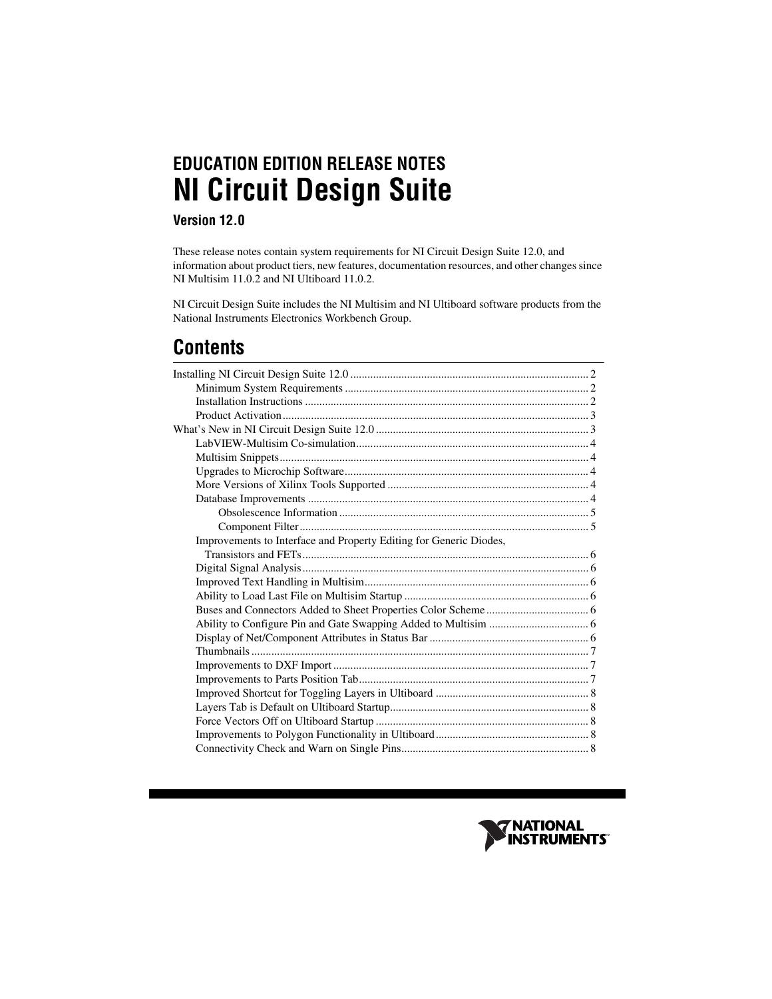# **EDUCATION EDITION RELEASE NOTES NI Circuit Design Suite**

#### **Version 12.0**

These release notes contain system requirements for NI Circuit Design Suite 12.0, and information about product tiers, new features, documentation resources, and other changes since NI Multisim 11.0.2 and NI Ultiboard 11.0.2.

NI Circuit Design Suite includes the NI Multisim and NI Ultiboard software products from the National Instruments Electronics Workbench Group.

## **Contents**

| Improvements to Interface and Property Editing for Generic Diodes, |  |
|--------------------------------------------------------------------|--|
|                                                                    |  |
|                                                                    |  |
|                                                                    |  |
|                                                                    |  |
|                                                                    |  |
|                                                                    |  |
|                                                                    |  |
|                                                                    |  |
|                                                                    |  |
|                                                                    |  |
|                                                                    |  |
|                                                                    |  |
|                                                                    |  |
|                                                                    |  |
|                                                                    |  |

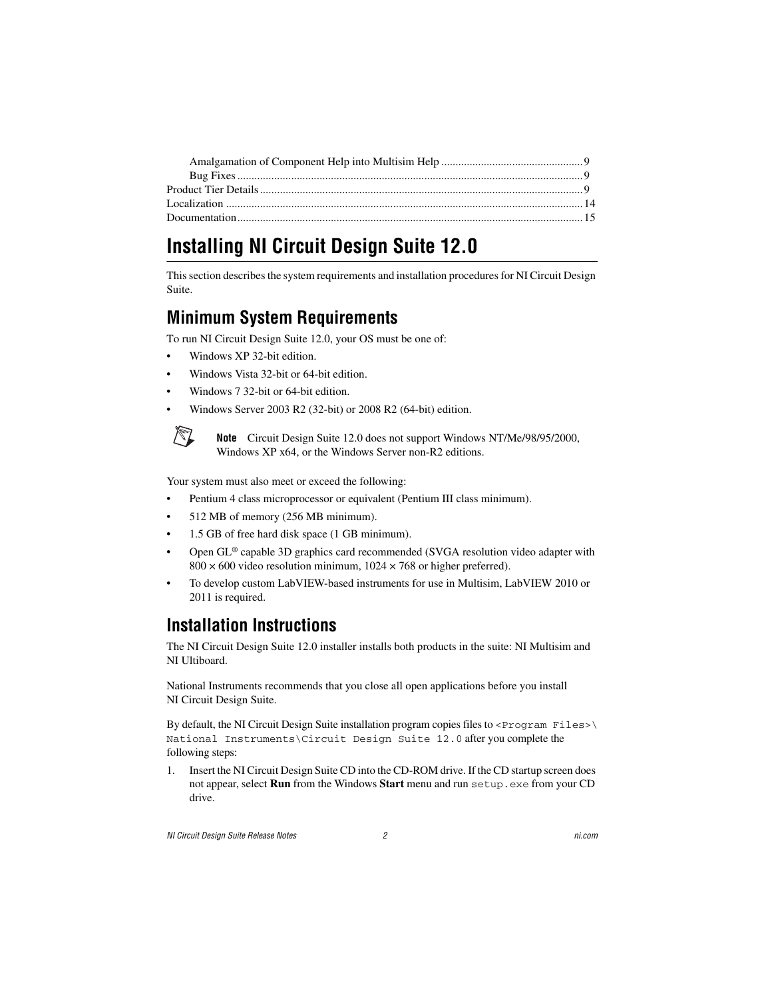### <span id="page-1-0"></span>**Installing NI Circuit Design Suite 12.0**

This section describes the system requirements and installation procedures for NI Circuit Design Suite.

#### <span id="page-1-1"></span>**Minimum System Requirements**

To run NI Circuit Design Suite 12.0, your OS must be one of:

- Windows XP 32-bit edition.
- Windows Vista 32-bit or 64-bit edition.
- Windows 7 32-bit or 64-bit edition.
- Windows Server 2003 R2 (32-bit) or 2008 R2 (64-bit) edition.



**Note** Circuit Design Suite 12.0 does not support Windows NT/Me/98/95/2000, Windows XP x64, or the Windows Server non-R2 editions.

Your system must also meet or exceed the following:

- Pentium 4 class microprocessor or equivalent (Pentium III class minimum).
- 512 MB of memory (256 MB minimum).
- 1.5 GB of free hard disk space (1 GB minimum).
- Open GL<sup>®</sup> capable 3D graphics card recommended (SVGA resolution video adapter with  $800 \times 600$  video resolution minimum,  $1024 \times 768$  or higher preferred).
- To develop custom LabVIEW-based instruments for use in Multisim, LabVIEW 2010 or 2011 is required.

### <span id="page-1-2"></span>**Installation Instructions**

The NI Circuit Design Suite 12.0 installer installs both products in the suite: NI Multisim and NI Ultiboard.

National Instruments recommends that you close all open applications before you install NI Circuit Design Suite.

By default, the NI Circuit Design Suite installation program copies files to  $\langle$ Program Files> $\rangle$ National Instruments\Circuit Design Suite 12.0 after you complete the following steps:

1. Insert the NI Circuit Design Suite CD into the CD-ROM drive. If the CD startup screen does not appear, select **Run** from the Windows **Start** menu and run setup.exe from your CD drive.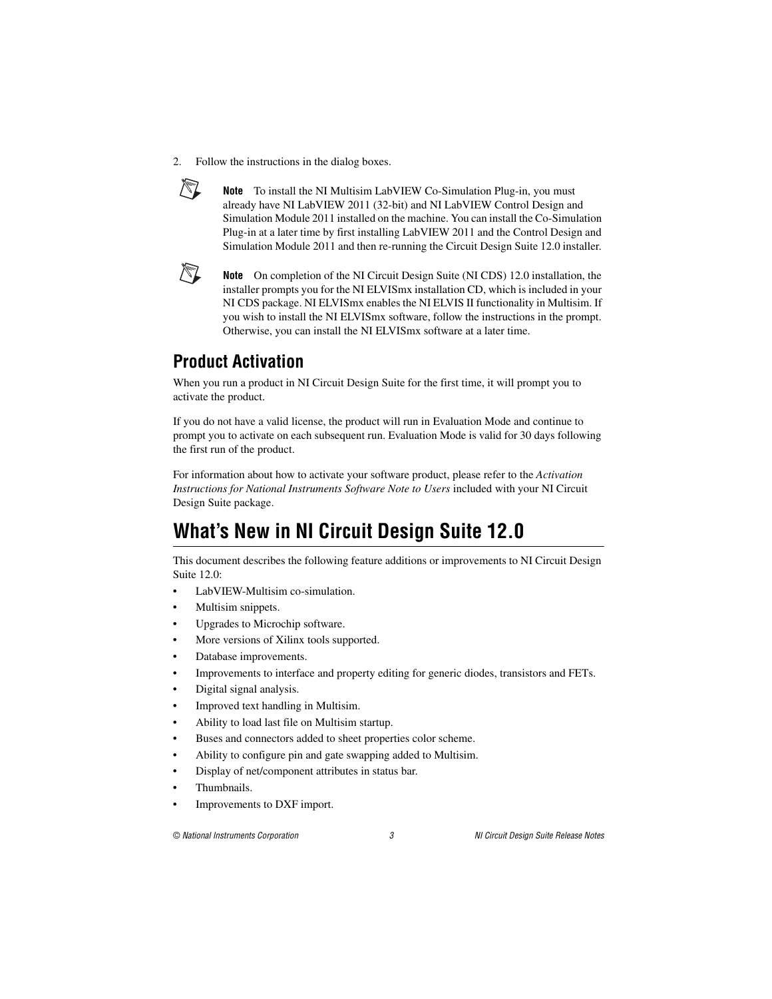2. Follow the instructions in the dialog boxes.



**Note** To install the NI Multisim LabVIEW Co-Simulation Plug-in, you must already have NI LabVIEW 2011 (32-bit) and NI LabVIEW Control Design and Simulation Module 2011 installed on the machine. You can install the Co-Simulation Plug-in at a later time by first installing LabVIEW 2011 and the Control Design and Simulation Module 2011 and then re-running the Circuit Design Suite 12.0 installer.



**Note** On completion of the NI Circuit Design Suite (NI CDS) 12.0 installation, the installer prompts you for the NI ELVISmx installation CD, which is included in your NI CDS package. NI ELVISmx enables the NI ELVIS II functionality in Multisim. If you wish to install the NI ELVISmx software, follow the instructions in the prompt. Otherwise, you can install the NI ELVISmx software at a later time.

#### <span id="page-2-0"></span>**Product Activation**

When you run a product in NI Circuit Design Suite for the first time, it will prompt you to activate the product.

If you do not have a valid license, the product will run in Evaluation Mode and continue to prompt you to activate on each subsequent run. Evaluation Mode is valid for 30 days following the first run of the product.

For information about how to activate your software product, please refer to the *Activation Instructions for National Instruments Software Note to Users* included with your NI Circuit Design Suite package.

## <span id="page-2-1"></span>**What's New in NI Circuit Design Suite 12.0**

This document describes the following feature additions or improvements to NI Circuit Design Suite 12.0:

- LabVIFW-Multisim co-simulation
- Multisim snippets.
- Upgrades to Microchip software.
- More versions of Xilinx tools supported.
- Database improvements.
- Improvements to interface and property editing for generic diodes, transistors and FETs.
- Digital signal analysis.
- Improved text handling in Multisim.
- Ability to load last file on Multisim startup.
- Buses and connectors added to sheet properties color scheme.
- Ability to configure pin and gate swapping added to Multisim.
- Display of net/component attributes in status bar.
- Thumbnails.
- Improvements to DXF import.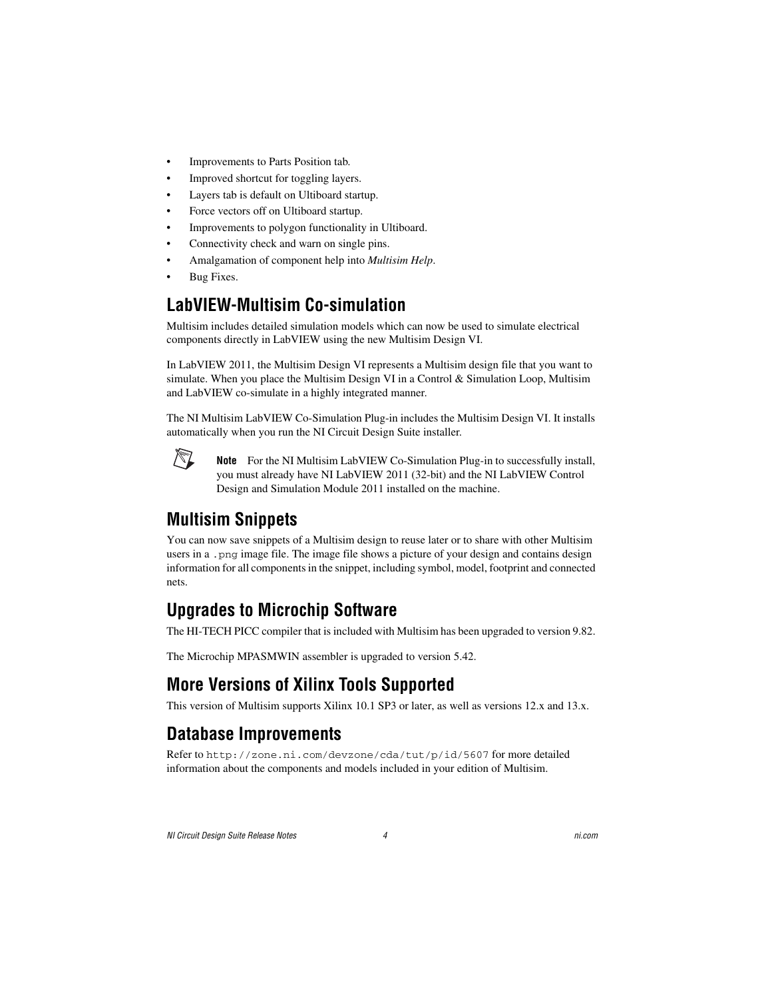- Improvements to Parts Position tab.
- Improved shortcut for toggling layers.
- Layers tab is default on Ultiboard startup.
- Force vectors off on Ultiboard startup.
- Improvements to polygon functionality in Ultiboard.
- Connectivity check and warn on single pins.
- Amalgamation of component help into *Multisim Help*.
- Bug Fixes.

#### <span id="page-3-0"></span>**LabVIEW-Multisim Co-simulation**

Multisim includes detailed simulation models which can now be used to simulate electrical components directly in LabVIEW using the new Multisim Design VI.

In LabVIEW 2011, the Multisim Design VI represents a Multisim design file that you want to simulate. When you place the Multisim Design VI in a Control & Simulation Loop, Multisim and LabVIEW co-simulate in a highly integrated manner.

The NI Multisim LabVIEW Co-Simulation Plug-in includes the Multisim Design VI. It installs automatically when you run the NI Circuit Design Suite installer.



**Note** For the NI Multisim LabVIEW Co-Simulation Plug-in to successfully install, you must already have NI LabVIEW 2011 (32-bit) and the NI LabVIEW Control Design and Simulation Module 2011 installed on the machine.

#### <span id="page-3-1"></span>**Multisim Snippets**

You can now save snippets of a Multisim design to reuse later or to share with other Multisim users in a, png image file. The image file shows a picture of your design and contains design information for all components in the snippet, including symbol, model, footprint and connected nets.

#### <span id="page-3-2"></span>**Upgrades to Microchip Software**

The HI-TECH PICC compiler that is included with Multisim has been upgraded to version 9.82.

The Microchip MPASMWIN assembler is upgraded to version 5.42.

### <span id="page-3-3"></span>**More Versions of Xilinx Tools Supported**

This version of Multisim supports Xilinx 10.1 SP3 or later, as well as versions 12.x and 13.x.

#### <span id="page-3-4"></span>**Database Improvements**

Refer to [http://zone.ni.com/devzone/cda/tut/p/id/5607](http://zone.ni.com/devzone/cda/tut/p/id/5607/express.nsf/bycode/mltsim11) for more detailed information about the components and models included in your edition of Multisim.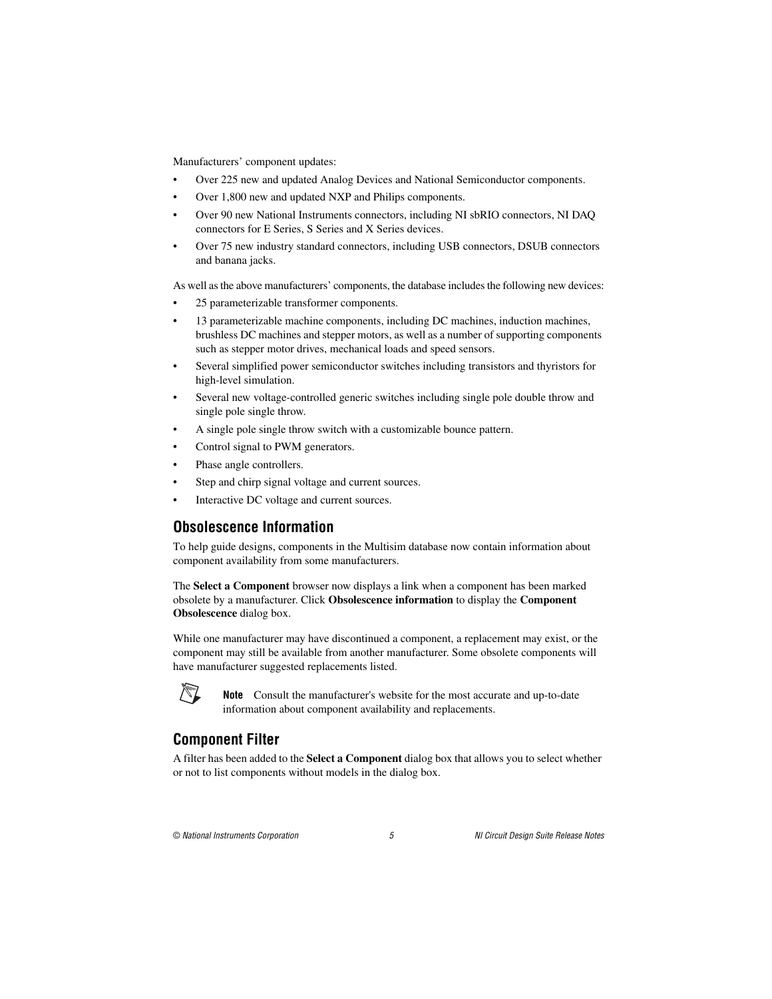Manufacturers' component updates:

- Over 225 new and updated Analog Devices and National Semiconductor components.
- Over 1,800 new and updated NXP and Philips components.
- Over 90 new National Instruments connectors, including NI sbRIO connectors, NI DAQ connectors for E Series, S Series and X Series devices.
- Over 75 new industry standard connectors, including USB connectors, DSUB connectors and banana jacks.

As well as the above manufacturers' components, the database includes the following new devices:

- 25 parameterizable transformer components.
- 13 parameterizable machine components, including DC machines, induction machines, brushless DC machines and stepper motors, as well as a number of supporting components such as stepper motor drives, mechanical loads and speed sensors.
- Several simplified power semiconductor switches including transistors and thyristors for high-level simulation.
- Several new voltage-controlled generic switches including single pole double throw and single pole single throw.
- A single pole single throw switch with a customizable bounce pattern.
- Control signal to PWM generators.
- Phase angle controllers.
- Step and chirp signal voltage and current sources.
- Interactive DC voltage and current sources.

#### <span id="page-4-0"></span>**Obsolescence Information**

To help guide designs, components in the Multisim database now contain information about component availability from some manufacturers.

The **Select a Component** browser now displays a link when a component has been marked obsolete by a manufacturer. Click **Obsolescence information** to display the **Component Obsolescence** dialog box.

While one manufacturer may have discontinued a component, a replacement may exist, or the component may still be available from another manufacturer. Some obsolete components will have manufacturer suggested replacements listed.



**Note** Consult the manufacturer's website for the most accurate and up-to-date information about component availability and replacements.

#### <span id="page-4-1"></span>**Component Filter**

A filter has been added to the **Select a Component** dialog box that allows you to select whether or not to list components without models in the dialog box.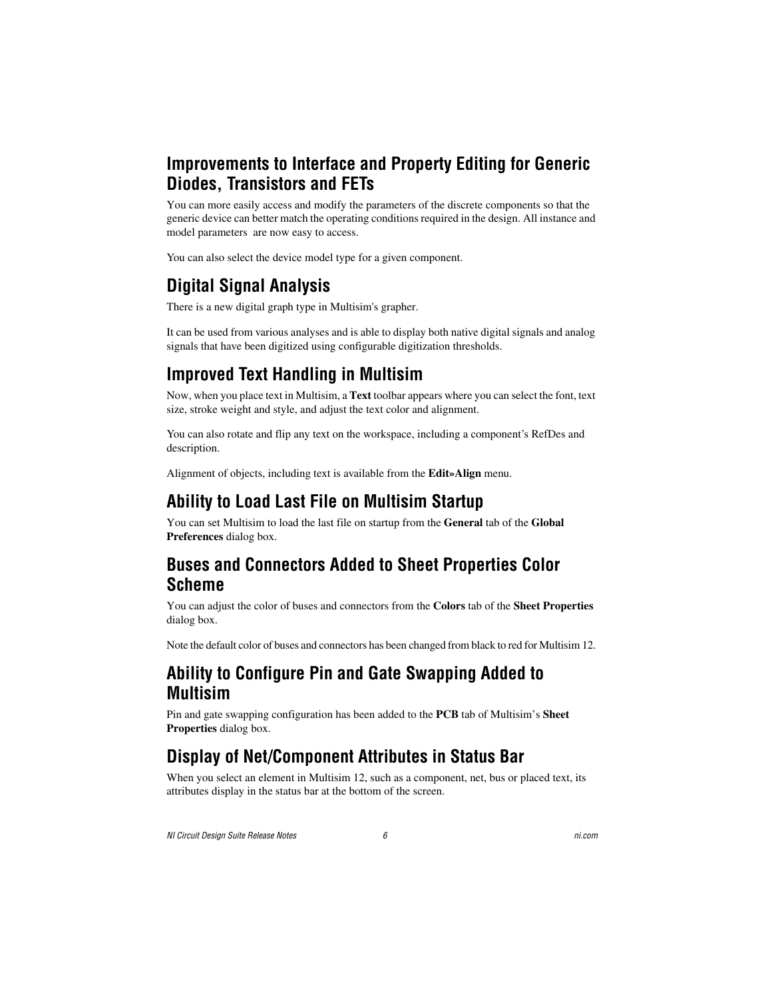#### <span id="page-5-0"></span>**Improvements to Interface and Property Editing for Generic Diodes, Transistors and FETs**

You can more easily access and modify the parameters of the discrete components so that the generic device can better match the operating conditions required in the design. All instance and model parameters are now easy to access.

You can also select the device model type for a given component.

## <span id="page-5-1"></span>**Digital Signal Analysis**

There is a new digital graph type in Multisim's grapher.

It can be used from various analyses and is able to display both native digital signals and analog signals that have been digitized using configurable digitization thresholds.

### <span id="page-5-2"></span>**Improved Text Handling in Multisim**

Now, when you place text in Multisim, a **Text** toolbar appears where you can select the font, text size, stroke weight and style, and adjust the text color and alignment.

You can also rotate and flip any text on the workspace, including a component's RefDes and description.

Alignment of objects, including text is available from the **Edit»Align** menu.

### <span id="page-5-3"></span>**Ability to Load Last File on Multisim Startup**

You can set Multisim to load the last file on startup from the **General** tab of the **Global Preferences** dialog box.

#### <span id="page-5-4"></span>**Buses and Connectors Added to Sheet Properties Color Scheme**

You can adjust the color of buses and connectors from the **Colors** tab of the **Sheet Properties** dialog box.

Note the default color of buses and connectors has been changed from black to red for Multisim 12.

#### <span id="page-5-5"></span>**Ability to Configure Pin and Gate Swapping Added to Multisim**

Pin and gate swapping configuration has been added to the **PCB** tab of Multisim's **Sheet Properties** dialog box.

### <span id="page-5-6"></span>**Display of Net/Component Attributes in Status Bar**

When you select an element in Multisim 12, such as a component, net, bus or placed text, its attributes display in the status bar at the bottom of the screen.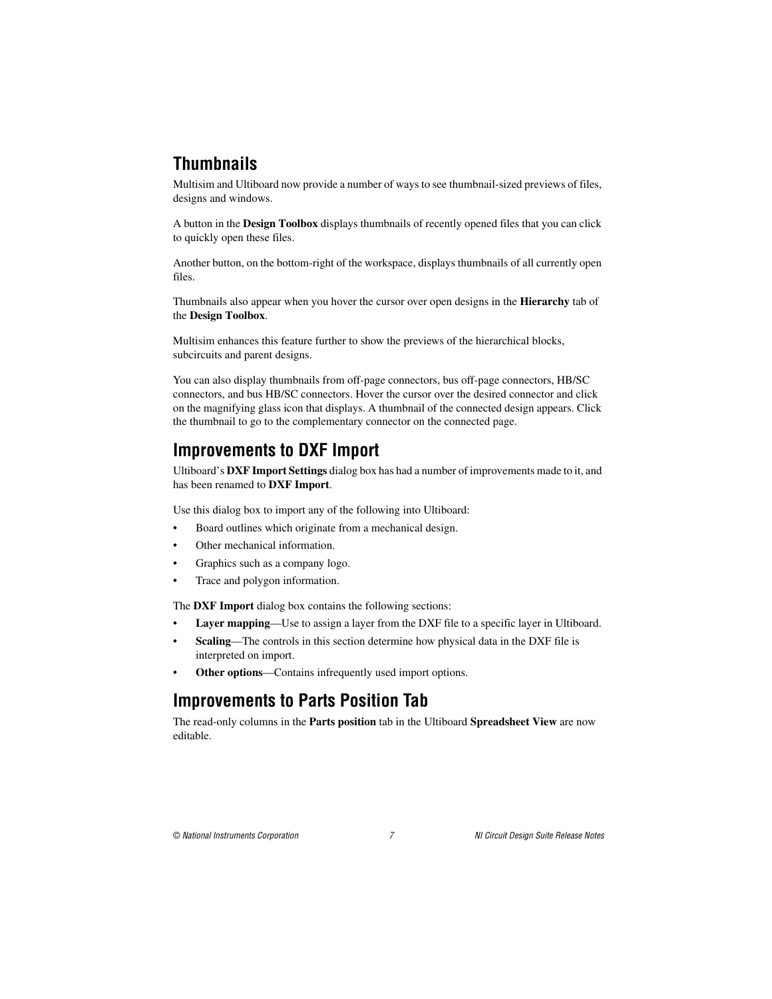### <span id="page-6-0"></span>**Thumbnails**

Multisim and Ultiboard now provide a number of ways to see thumbnail-sized previews of files, designs and windows.

A button in the **Design Toolbox** displays thumbnails of recently opened files that you can click to quickly open these files.

Another button, on the bottom-right of the workspace, displays thumbnails of all currently open files.

Thumbnails also appear when you hover the cursor over open designs in the **Hierarchy** tab of the **Design Toolbox**.

Multisim enhances this feature further to show the previews of the hierarchical blocks, subcircuits and parent designs.

You can also display thumbnails from off-page connectors, bus off-page connectors, HB/SC connectors, and bus HB/SC connectors. Hover the cursor over the desired connector and click on the magnifying glass icon that displays. A thumbnail of the connected design appears. Click the thumbnail to go to the complementary connector on the connected page.

#### <span id="page-6-1"></span>**Improvements to DXF Import**

Ultiboard's **DXF Import Settings** dialog box has had a number of improvements made to it, and has been renamed to **DXF Import**.

Use this dialog box to import any of the following into Ultiboard:

- Board outlines which originate from a mechanical design.
- Other mechanical information.
- Graphics such as a company logo.
- Trace and polygon information.

The **DXF Import** dialog box contains the following sections:

- **Layer mapping—Use** to assign a layer from the DXF file to a specific layer in Ultiboard.
- **Scaling**—The controls in this section determine how physical data in the DXF file is interpreted on import.
- **Other options**—Contains infrequently used import options.

#### <span id="page-6-2"></span>**Improvements to Parts Position Tab**

The read-only columns in the **Parts position** tab in the Ultiboard **Spreadsheet View** are now editable.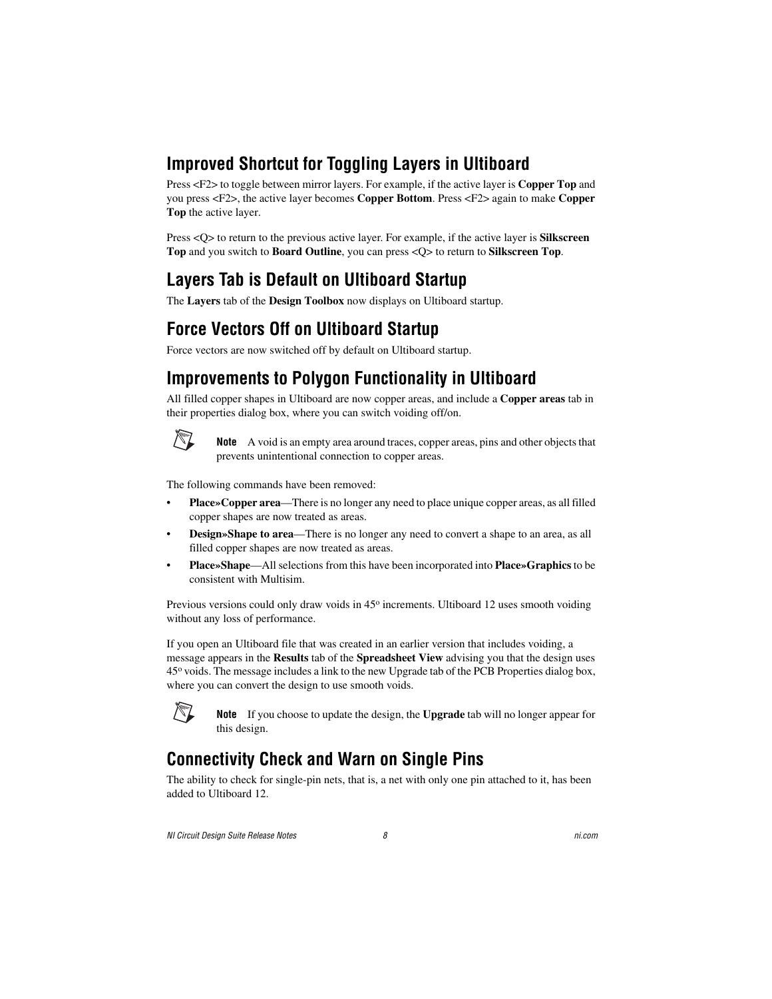### <span id="page-7-0"></span>**Improved Shortcut for Toggling Layers in Ultiboard**

Press <F2> to toggle between mirror layers. For example, if the active layer is **Copper Top** and you press <F2>, the active layer becomes **Copper Bottom**. Press <F2> again to make **Copper Top** the active layer.

Press <Q> to return to the previous active layer. For example, if the active layer is **Silkscreen Top** and you switch to **Board Outline**, you can press <Q> to return to **Silkscreen Top**.

### <span id="page-7-1"></span>**Layers Tab is Default on Ultiboard Startup**

The **Layers** tab of the **Design Toolbox** now displays on Ultiboard startup.

#### <span id="page-7-2"></span>**Force Vectors Off on Ultiboard Startup**

Force vectors are now switched off by default on Ultiboard startup.

#### <span id="page-7-3"></span>**Improvements to Polygon Functionality in Ultiboard**

All filled copper shapes in Ultiboard are now copper areas, and include a **Copper areas** tab in their properties dialog box, where you can switch voiding off/on.



**Note** A void is an empty area around traces, copper areas, pins and other objects that prevents unintentional connection to copper areas.

The following commands have been removed:

- **Place»Copper area**—There is no longer any need to place unique copper areas, as all filled copper shapes are now treated as areas.
- **Design»Shape to area**—There is no longer any need to convert a shape to an area, as all filled copper shapes are now treated as areas.
- **Place»Shape**—All selections from this have been incorporated into **Place»Graphics** to be consistent with Multisim.

Previous versions could only draw voids in 45<sup>o</sup> increments. Ultiboard 12 uses smooth voiding without any loss of performance.

If you open an Ultiboard file that was created in an earlier version that includes voiding, a message appears in the **Results** tab of the **Spreadsheet View** advising you that the design uses 45o voids. The message includes a link to the new Upgrade tab of the PCB Properties dialog box, where you can convert the design to use smooth voids.



**Note** If you choose to update the design, the **Upgrade** tab will no longer appear for this design.

### <span id="page-7-4"></span>**Connectivity Check and Warn on Single Pins**

The ability to check for single-pin nets, that is, a net with only one pin attached to it, has been added to Ultiboard 12.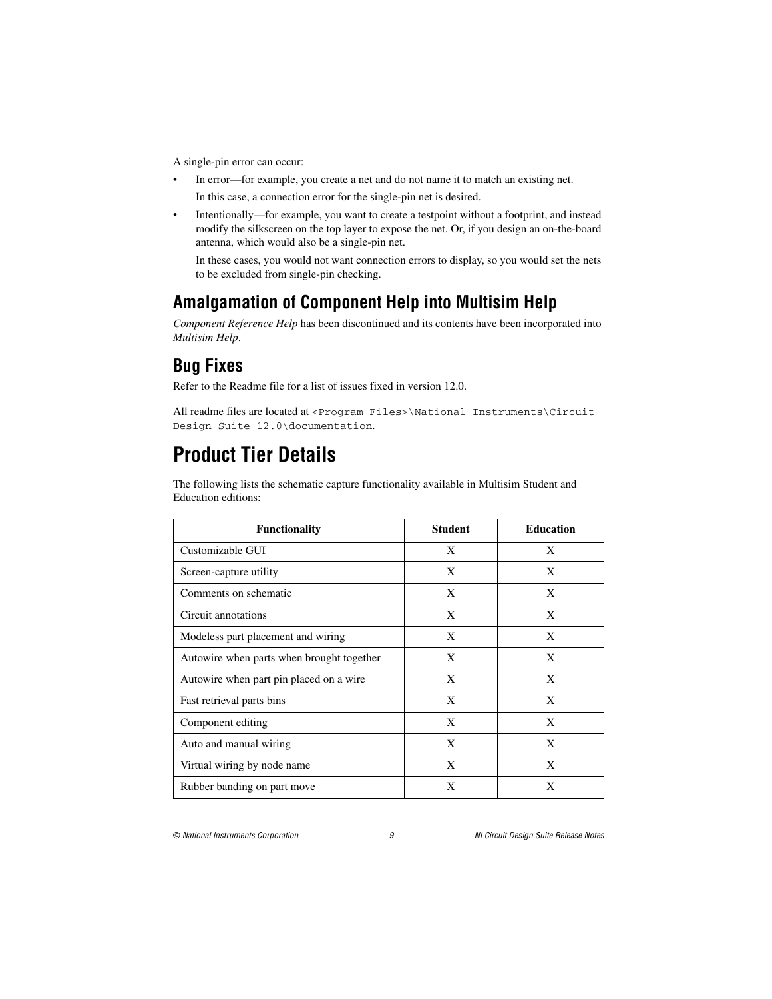A single-pin error can occur:

- In error—for example, you create a net and do not name it to match an existing net. In this case, a connection error for the single-pin net is desired.
- Intentionally—for example, you want to create a testpoint without a footprint, and instead modify the silkscreen on the top layer to expose the net. Or, if you design an on-the-board antenna, which would also be a single-pin net.

In these cases, you would not want connection errors to display, so you would set the nets to be excluded from single-pin checking.

### <span id="page-8-0"></span>**Amalgamation of Component Help into Multisim Help**

*Component Reference Help* has been discontinued and its contents have been incorporated into *Multisim Help*.

### <span id="page-8-1"></span>**Bug Fixes**

Refer to the Readme file for a list of issues fixed in version 12.0.

All readme files are located at <Program Files>\National Instruments\Circuit Design Suite 12.0\documentation.

## <span id="page-8-2"></span>**Product Tier Details**

The following lists the schematic capture functionality available in Multisim Student and Education editions:

| <b>Functionality</b>                      | <b>Student</b> | <b>Education</b> |
|-------------------------------------------|----------------|------------------|
| Customizable GUI                          | X              | X                |
| Screen-capture utility                    | X              | X                |
| Comments on schematic                     | X              | X                |
| Circuit annotations                       | X              | X                |
| Modeless part placement and wiring        | X              | X                |
| Autowire when parts when brought together | X              | X                |
| Autowire when part pin placed on a wire.  | X              | X                |
| Fast retrieval parts bins                 | X              | X                |
| Component editing                         | X              | X                |
| Auto and manual wiring                    | X              | X                |
| Virtual wiring by node name               | X              | X                |
| Rubber banding on part move               | X              | X                |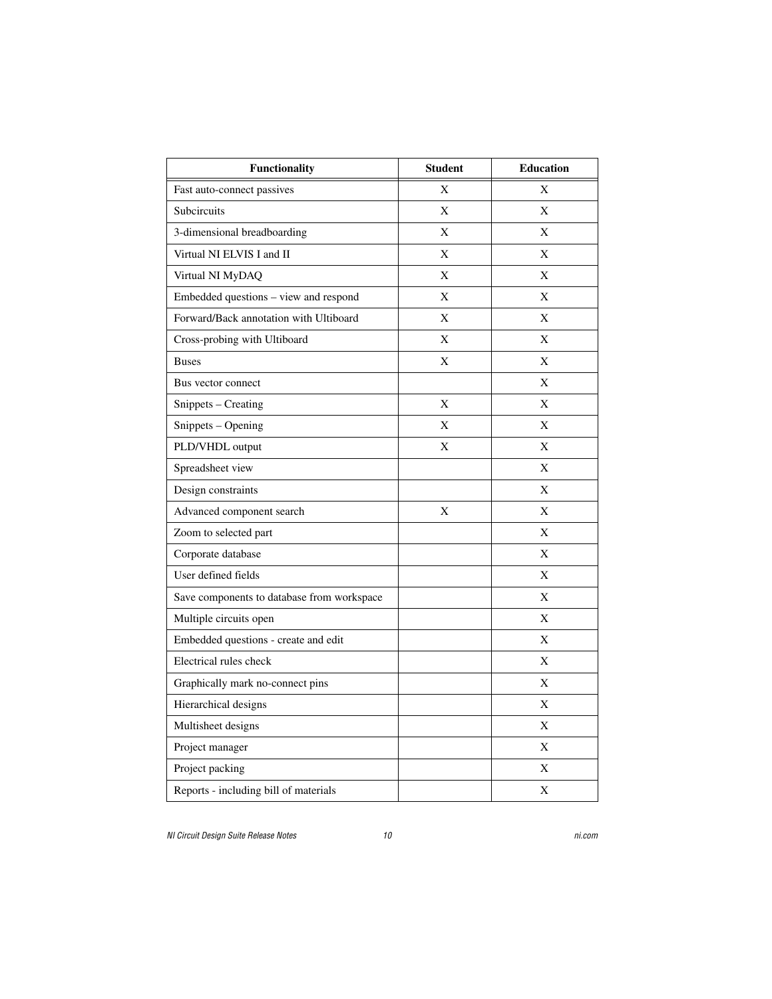| <b>Functionality</b>                       | <b>Student</b> | <b>Education</b> |
|--------------------------------------------|----------------|------------------|
| Fast auto-connect passives                 | X              | X                |
| Subcircuits                                | X              | X                |
| 3-dimensional breadboarding                | X              | X                |
| Virtual NI ELVIS I and II                  | X              | X                |
| Virtual NI MyDAQ                           | X              | X                |
| Embedded questions – view and respond      | X              | X                |
| Forward/Back annotation with Ultiboard     | X              | X                |
| Cross-probing with Ultiboard               | X              | X                |
| <b>Buses</b>                               | X              | X                |
| Bus vector connect                         |                | X                |
| Snippets - Creating                        | X              | X                |
| Snippets – Opening                         | X              | X                |
| PLD/VHDL output                            | X              | X                |
| Spreadsheet view                           |                | X                |
| Design constraints                         |                | X                |
| Advanced component search                  | X              | X                |
| Zoom to selected part                      |                | X                |
| Corporate database                         |                | X                |
| User defined fields                        |                | X                |
| Save components to database from workspace |                | X                |
| Multiple circuits open                     |                | X                |
| Embedded questions - create and edit       |                | X                |
| Electrical rules check                     |                | X                |
| Graphically mark no-connect pins           |                | X                |
| Hierarchical designs                       |                | X                |
| Multisheet designs                         |                | X                |
| Project manager                            |                | X                |
| Project packing                            |                | X                |
| Reports - including bill of materials      |                | X                |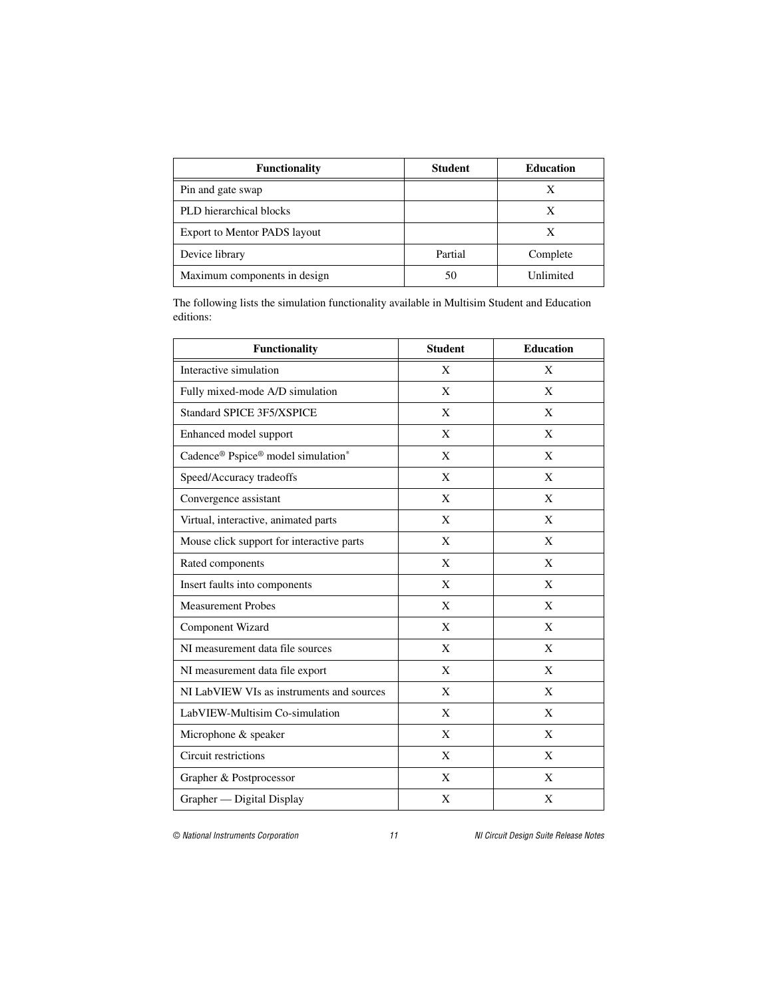| <b>Functionality</b>                | <b>Student</b> | <b>Education</b> |
|-------------------------------------|----------------|------------------|
| Pin and gate swap                   |                |                  |
| PLD hierarchical blocks             |                | X                |
| <b>Export to Mentor PADS layout</b> |                | X                |
| Device library                      | Partial        | Complete         |
| Maximum components in design        | 50             | Unlimited        |

The following lists the simulation functionality available in Multisim Student and Education editions:

| <b>Functionality</b>                      | <b>Student</b> | <b>Education</b> |
|-------------------------------------------|----------------|------------------|
| Interactive simulation                    | X              | X                |
| Fully mixed-mode A/D simulation           | X              | X                |
| <b>Standard SPICE 3F5/XSPICE</b>          | X              | X                |
| Enhanced model support                    | X              | X                |
| Cadence® Pspice® model simulation*        | X              | X                |
| Speed/Accuracy tradeoffs                  | X              | X                |
| Convergence assistant                     | X              | X                |
| Virtual, interactive, animated parts      | X              | X                |
| Mouse click support for interactive parts | X              | X                |
| Rated components                          | X              | X                |
| Insert faults into components             | X              | X                |
| <b>Measurement Probes</b>                 | X              | X                |
| Component Wizard                          | X              | X                |
| NI measurement data file sources          | X              | X                |
| NI measurement data file export           | X              | X                |
| NI LabVIEW VIs as instruments and sources | X              | X                |
| LabVIEW-Multisim Co-simulation            | X              | X                |
| Microphone & speaker                      | X              | X                |
| Circuit restrictions                      | X              | X                |
| Grapher & Postprocessor                   | X              | X                |
| Grapher — Digital Display                 | X              | X                |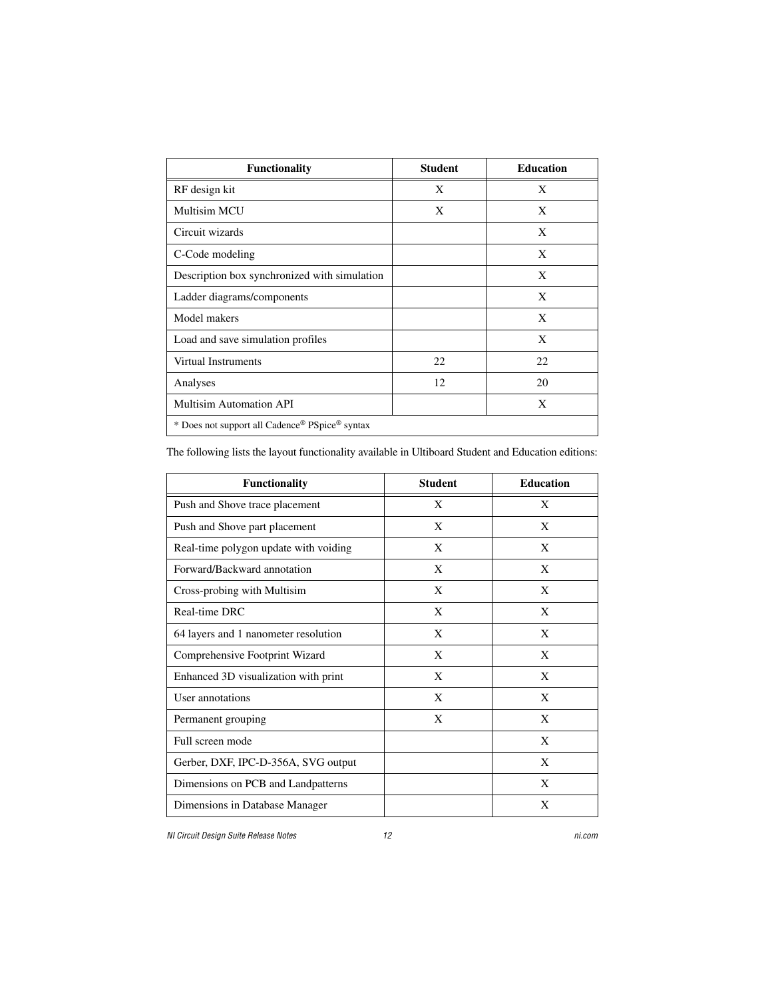| <b>Functionality</b>                           | <b>Student</b> | <b>Education</b> |
|------------------------------------------------|----------------|------------------|
| RF design kit                                  | X              | X                |
| <b>Multisim MCU</b>                            | X              | X                |
| Circuit wizards                                |                | X                |
| C-Code modeling                                |                | X                |
| Description box synchronized with simulation   |                | X                |
| Ladder diagrams/components                     |                | X                |
| Model makers                                   |                | X                |
| Load and save simulation profiles              |                | X                |
| Virtual Instruments                            | 22             | 22               |
| Analyses                                       | 12             | 20               |
| <b>Multisim Automation API</b>                 |                | X                |
| * Does not support all Cadence® PSpice® syntax |                |                  |

The following lists the layout functionality available in Ultiboard Student and Education editions:

| <b>Functionality</b>                  | <b>Student</b> | <b>Education</b> |
|---------------------------------------|----------------|------------------|
| Push and Shove trace placement        | X              | X                |
| Push and Shove part placement         | X              | X                |
| Real-time polygon update with voiding | X              | X                |
| Forward/Backward annotation           | X              | X                |
| Cross-probing with Multisim           | X              | X                |
| Real-time DRC                         | X              | X                |
| 64 layers and 1 nanometer resolution  | X              | X                |
| Comprehensive Footprint Wizard        | X              | X                |
| Enhanced 3D visualization with print  | X              | X                |
| User annotations                      | X              | X                |
| Permanent grouping                    | X              | X                |
| Full screen mode                      |                | X                |
| Gerber, DXF, IPC-D-356A, SVG output   |                | X                |
| Dimensions on PCB and Landpatterns    |                | X                |
| Dimensions in Database Manager        |                | X                |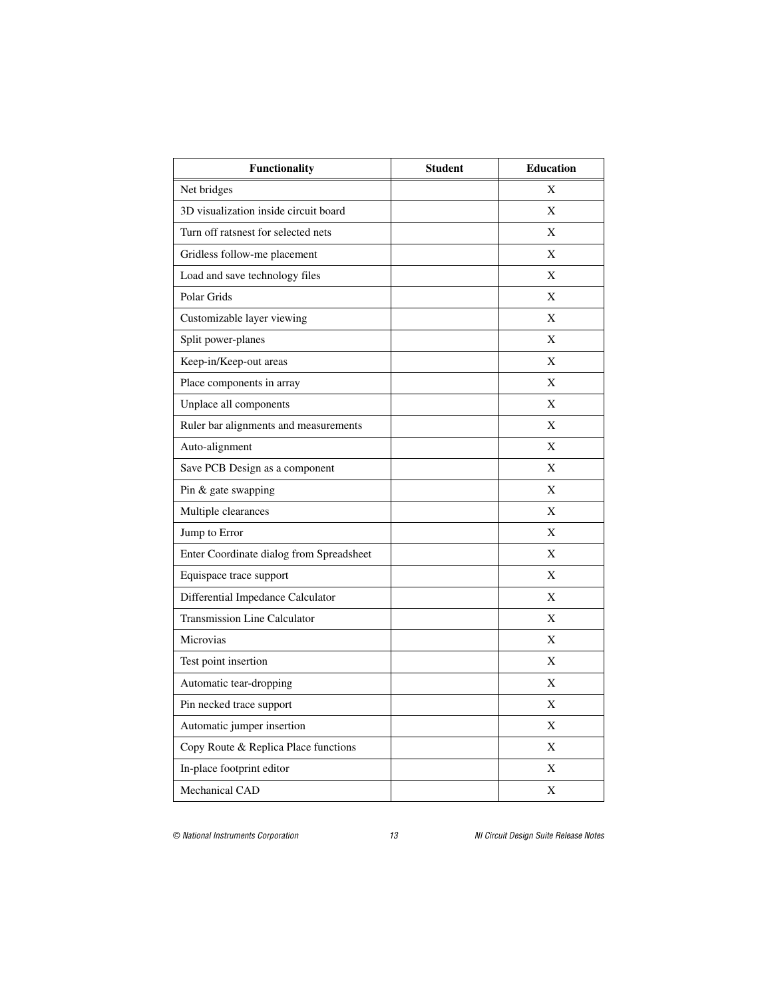| <b>Functionality</b>                     | <b>Student</b> | <b>Education</b> |
|------------------------------------------|----------------|------------------|
| Net bridges                              |                | X                |
| 3D visualization inside circuit board    |                | X                |
| Turn off ratsnest for selected nets      |                | X                |
| Gridless follow-me placement             |                | X                |
| Load and save technology files           |                | X                |
| Polar Grids                              |                | X                |
| Customizable layer viewing               |                | X                |
| Split power-planes                       |                | X                |
| Keep-in/Keep-out areas                   |                | X                |
| Place components in array                |                | X                |
| Unplace all components                   |                | X                |
| Ruler bar alignments and measurements    |                | X                |
| Auto-alignment                           |                | X                |
| Save PCB Design as a component           |                | X                |
| Pin & gate swapping                      |                | X                |
| Multiple clearances                      |                | X                |
| Jump to Error                            |                | X                |
| Enter Coordinate dialog from Spreadsheet |                | X                |
| Equispace trace support                  |                | X                |
| Differential Impedance Calculator        |                | X                |
| <b>Transmission Line Calculator</b>      |                | X                |
| Microvias                                |                | X                |
| Test point insertion                     |                | X                |
| Automatic tear-dropping                  |                | X                |
| Pin necked trace support                 |                | X                |
| Automatic jumper insertion               |                | X                |
| Copy Route & Replica Place functions     |                | X                |
| In-place footprint editor                |                | X                |
| Mechanical CAD                           |                | X                |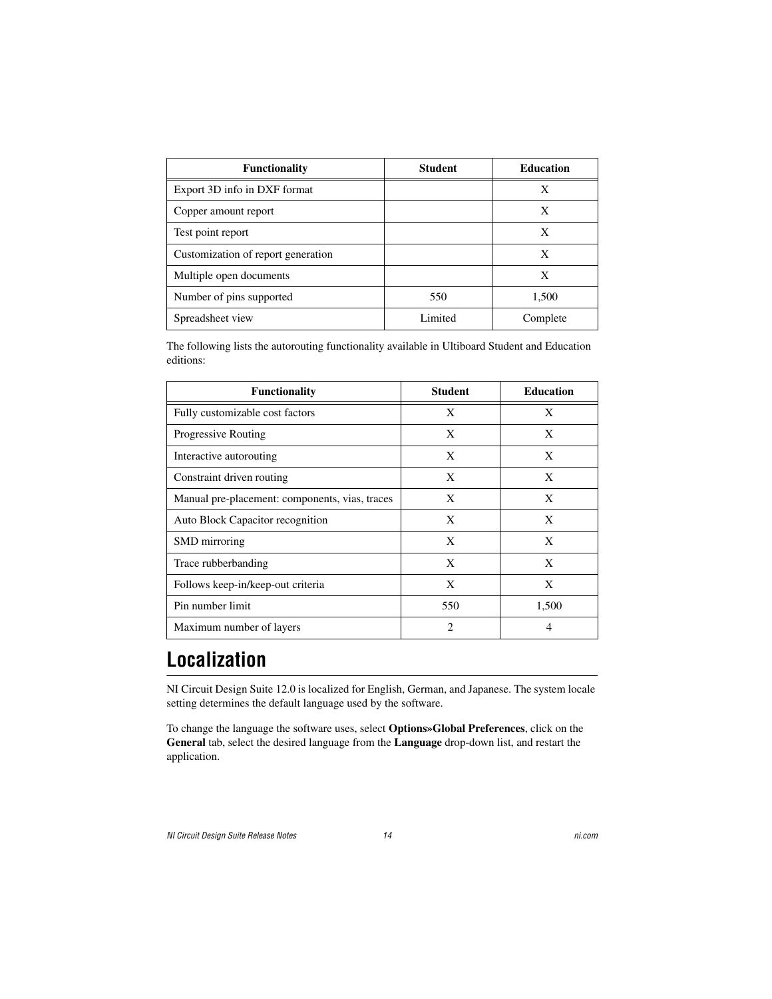| <b>Functionality</b>               | <b>Student</b> | <b>Education</b> |
|------------------------------------|----------------|------------------|
| Export 3D info in DXF format       |                | X                |
| Copper amount report               |                | X                |
| Test point report                  |                | X                |
| Customization of report generation |                | X                |
| Multiple open documents            |                | X                |
| Number of pins supported           | 550            | 1,500            |
| Spreadsheet view                   | Limited        | Complete         |

The following lists the autorouting functionality available in Ultiboard Student and Education editions:

| <b>Functionality</b>                           | <b>Student</b> | <b>Education</b> |
|------------------------------------------------|----------------|------------------|
| Fully customizable cost factors                | X              | X                |
| <b>Progressive Routing</b>                     | X              | X                |
| Interactive autorouting                        | X              | X                |
| Constraint driven routing                      | X              | X                |
| Manual pre-placement: components, vias, traces | X              | X                |
| Auto Block Capacitor recognition               | X              | X                |
| SMD mirroring                                  | X              | X                |
| Trace rubberbanding                            | X              | X                |
| Follows keep-in/keep-out criteria              | X              | X                |
| Pin number limit                               | 550            | 1,500            |
| Maximum number of layers                       | $\mathfrak{D}$ |                  |

### <span id="page-13-0"></span>**Localization**

NI Circuit Design Suite 12.0 is localized for English, German, and Japanese. The system locale setting determines the default language used by the software.

To change the language the software uses, select **Options»Global Preferences**, click on the **General** tab, select the desired language from the **Language** drop-down list, and restart the application.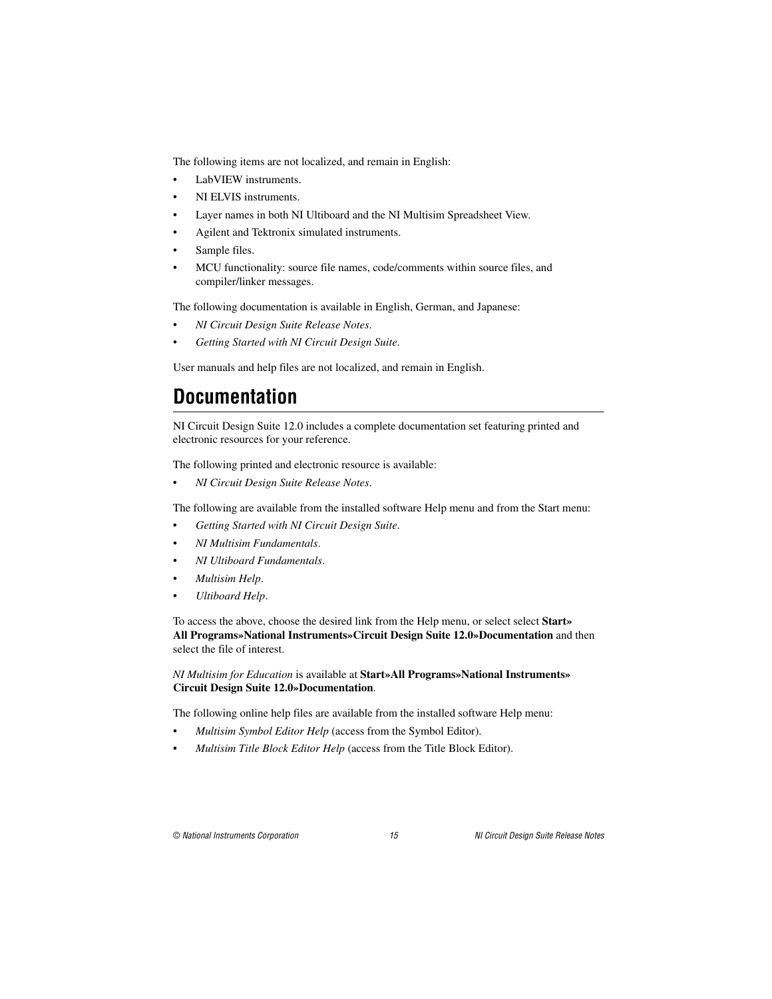The following items are not localized, and remain in English:

- LabVIEW instruments.
- NI ELVIS instruments.
- Layer names in both NI Ultiboard and the NI Multisim Spreadsheet View.
- Agilent and Tektronix simulated instruments.
- Sample files.
- MCU functionality: source file names, code/comments within source files, and compiler/linker messages.

The following documentation is available in English, German, and Japanese:

- *NI Circuit Design Suite Release Notes*.
- *Getting Started with NI Circuit Design Suite*.

User manuals and help files are not localized, and remain in English.

### <span id="page-14-0"></span>**Documentation**

NI Circuit Design Suite 12.0 includes a complete documentation set featuring printed and electronic resources for your reference.

The following printed and electronic resource is available:

• *NI Circuit Design Suite Release Notes*.

The following are available from the installed software Help menu and from the Start menu:

- *Getting Started with NI Circuit Design Suite*.
- *NI Multisim Fundamentals*.
- *NI Ultiboard Fundamentals*.
- *Multisim Help*.
- *Ultiboard Help*.

To access the above, choose the desired link from the Help menu, or select select **Start» All Programs»National Instruments»Circuit Design Suite 12.0»Documentation** and then select the file of interest.

#### *NI Multisim for Education* is available at **Start»All Programs»National Instruments» Circuit Design Suite 12.0»Documentation**.

The following online help files are available from the installed software Help menu:

- *Multisim Symbol Editor Help* (access from the Symbol Editor).
- *Multisim Title Block Editor Help* (access from the Title Block Editor).